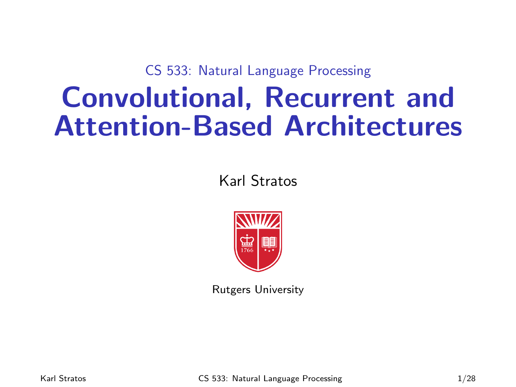CS 533: Natural Language Processing

# Convolutional, Recurrent and Attention-Based Architectures

Karl Stratos



Rutgers University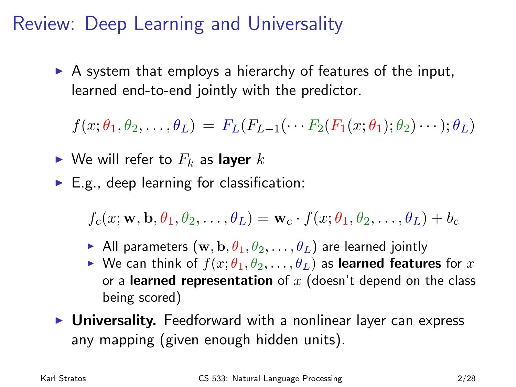#### Review: Deep Learning and Universality

 $\triangleright$  A system that employs a hierarchy of features of the input, learned end-to-end jointly with the predictor.

 $f(x; \theta_1, \theta_2, \ldots, \theta_L) = F_L(F_{L-1}(\cdots F_2(F_1(x; \theta_1); \theta_2) \cdots); \theta_L)$ 

- $\blacktriangleright$  We will refer to  $F_k$  as layer k
- $\blacktriangleright$  E.g., deep learning for classification:

 $f_c(x; \mathbf{w}, \mathbf{b}, \theta_1, \theta_2, \ldots, \theta_L) = \mathbf{w}_c \cdot f(x; \theta_1, \theta_2, \ldots, \theta_L) + b_c$ 

- All parameters  $(\mathbf{w}, \mathbf{b}, \theta_1, \theta_2, \dots, \theta_L)$  are learned jointly
- $\blacktriangleright$  We can think of  $f(x; \theta_1, \theta_2, \ldots, \theta_L)$  as learned features for x or a learned representation of  $x$  (doesn't depend on the class being scored)
- $\triangleright$  Universality. Feedforward with a nonlinear layer can express any mapping (given enough hidden units).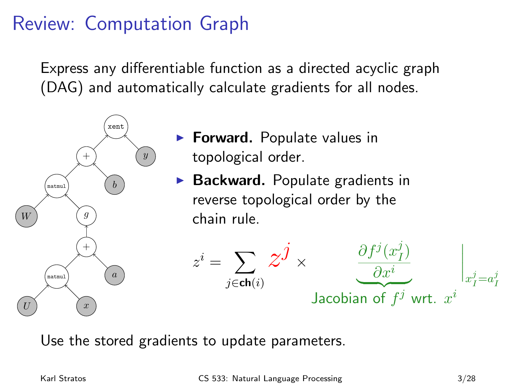#### Review: Computation Graph

Express any differentiable function as a directed acyclic graph (DAG) and automatically calculate gradients for all nodes.



- $\triangleright$  Forward. Populate values in topological order.
- $\triangleright$  Backward. Populate gradients in reverse topological order by the chain rule.



Use the stored gradients to update parameters.

Karl Stratos CS 533: Natural Language Processing 3/28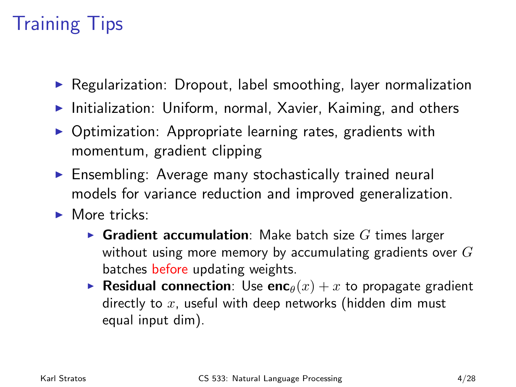## Training Tips

- $\triangleright$  Regularization: Dropout, label smoothing, layer normalization
- $\blacktriangleright$  Initialization: Uniform, normal, Xavier, Kaiming, and others
- $\triangleright$  Optimization: Appropriate learning rates, gradients with momentum, gradient clipping
- $\triangleright$  Ensembling: Average many stochastically trained neural models for variance reduction and improved generalization.
- $\blacktriangleright$  More tricks:
	- **Gradient accumulation:** Make batch size  $G$  times larger without using more memory by accumulating gradients over  $G$ batches before updating weights.
	- **Residual connection**: Use  $enc_{\theta}(x) + x$  to propagate gradient directly to  $x$ , useful with deep networks (hidden dim must equal input dim).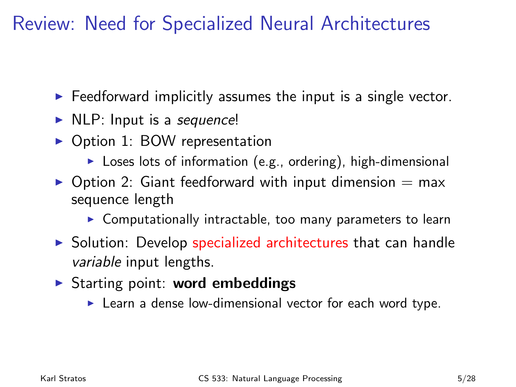#### Review: Need for Specialized Neural Architectures

- $\triangleright$  Feedforward implicitly assumes the input is a single vector.
- $\triangleright$  NLP: Input is a sequence!
- $\triangleright$  Option 1: BOW representation
	- $\triangleright$  Loses lots of information (e.g., ordering), high-dimensional
- $\triangleright$  Option 2: Giant feedforward with input dimension  $=$  max sequence length
	- $\triangleright$  Computationally intractable, too many parameters to learn
- $\triangleright$  Solution: Develop specialized architectures that can handle variable input lengths.
- $\triangleright$  Starting point: word embeddings
	- $\blacktriangleright$  Learn a dense low-dimensional vector for each word type.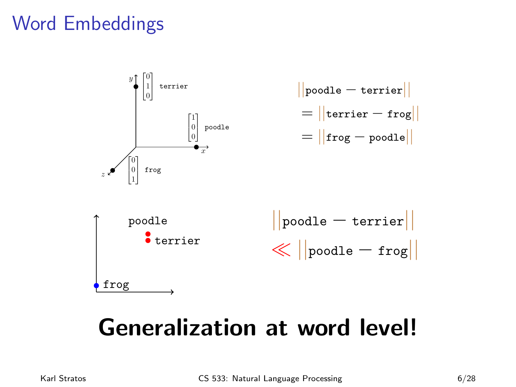#### Word Embeddings



## Generalization at word level!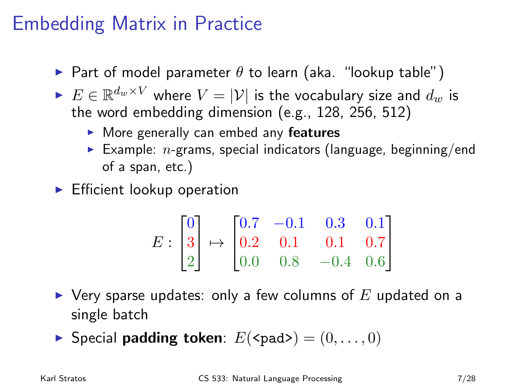#### Embedding Matrix in Practice

- **Part of model parameter**  $\theta$  **to learn (aka. "lookup table")**
- $E \in \mathbb{R}^{d_w \times V}$  where  $V = |\mathcal{V}|$  is the vocabulary size and  $d_w$  is the word embedding dimension (e.g., 128, 256, 512)
	- $\triangleright$  More generally can embed any features
	- Example: *n*-grams, special indicators (language, beginning/end of a span, etc.)
- $\blacktriangleright$  Efficient lookup operation

$$
E: \begin{bmatrix} 0 \\ 3 \\ 2 \end{bmatrix} \mapsto \begin{bmatrix} 0.7 & -0.1 & 0.3 & 0.1 \\ 0.2 & 0.1 & 0.1 & 0.7 \\ 0.0 & 0.8 & -0.4 & 0.6 \end{bmatrix}
$$

- $\blacktriangleright$  Very sparse updates: only a few columns of  $E$  updated on a single batch
- Special **padding token**:  $E(\text{}) = (0, \ldots, 0)$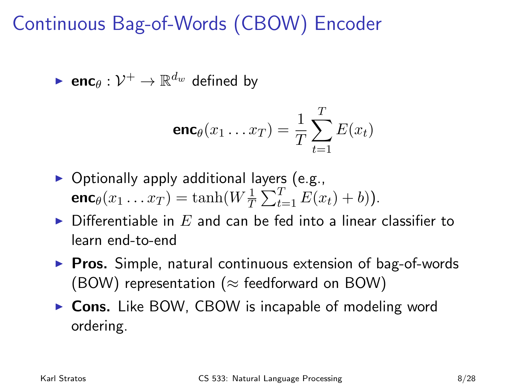### Continuous Bag-of-Words (CBOW) Encoder

 $\blacktriangleright$  enc $\theta: \mathcal{V}^+ \to \mathbb{R}^{d_w}$  defined by

$$
\mathbf{enc}_{\theta}(x_1 \dots x_T) = \frac{1}{T} \sum_{t=1}^T E(x_t)
$$

- $\blacktriangleright$  Optionally apply additional layers (e.g.,  $\mathsf{enc}_\theta(x_1 \dots x_T) = \tanh(W^1_T \sum_{t=1}^T E(x_t) + b)).$
- $\triangleright$  Differentiable in  $E$  and can be fed into a linear classifier to learn end-to-end
- $\triangleright$  Pros. Simple, natural continuous extension of bag-of-words (BOW) representation ( $\approx$  feedforward on BOW)
- $\triangleright$  Cons. Like BOW, CBOW is incapable of modeling word ordering.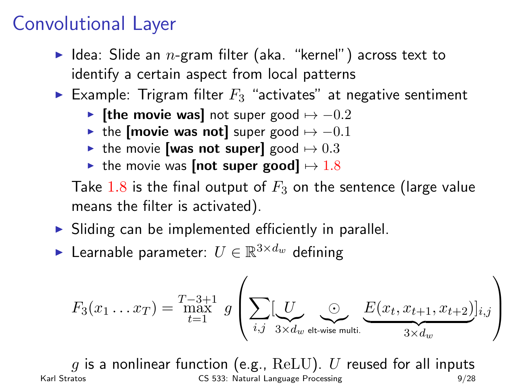#### Convolutional Layer

- I Idea: Slide an  $n$ -gram filter (aka. "kernel") across text to identify a certain aspect from local patterns
- Example: Trigram filter  $F_3$  "activates" at negative sentiment
	- $\blacktriangleright$  [the movie was] not super good  $\mapsto -0.2$
	- $\triangleright$  the [movie was not] super good  $\mapsto -0.1$
	- In the movie [was not super] good  $\mapsto 0.3$
	- In the movie was [not super good]  $\mapsto$  1.8

Take 1.8 is the final output of  $F_3$  on the sentence (large value means the filter is activated).

- $\triangleright$  Sliding can be implemented efficiently in parallel.
- ► Learnable parameter:  $U \in \mathbb{R}^{3 \times d_w}$  defining

$$
F_3(x_1 \ldots x_T) = \max_{t=1}^{T-3+1} g\left(\sum_{i,j} \underbrace{U}_{3 \times d_w \text{ et-wise multi.}} \underbrace{\odot}_{\text{Extwise multi.}} \underbrace{E(x_t, x_{t+1}, x_{t+2})}_{3 \times d_w} \bigg|_{i,j}\right)
$$

q is a nonlinear function (e.g.,  $ReLU$ ). U reused for all inputs Karl Stratos **CS 533: Natural Language Processing** 9/28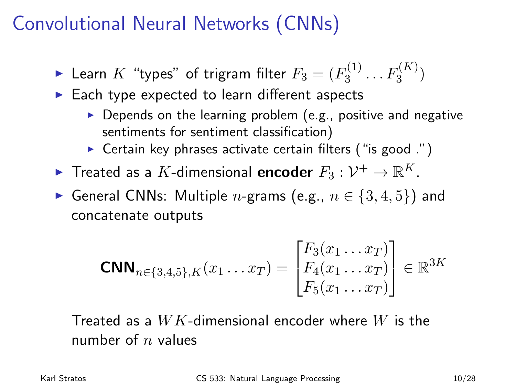#### Convolutional Neural Networks (CNNs)

 $\blacktriangleright$  Learn  $K$  "types" of trigram filter  $F_3=(F_3^{(1)})$  $F_3^{(1)}\ldots F_3^{(K)}$ 

- $\blacktriangleright$  Each type expected to learn different aspects
	- $\triangleright$  Depends on the learning problem (e.g., positive and negative sentiments for sentiment classification)
	- $\triangleright$  Certain key phrases activate certain filters ("is good .")
- $\blacktriangleright$  Treated as a  $K$ -dimensional encoder  $F_3: \mathcal{V}^+ \to \mathbb{R}^K$ .
- ► General CNNs: Multiple *n*-grams (e.g.,  $n \in \{3, 4, 5\}$ ) and concatenate outputs

$$
CNN_{n \in \{3,4,5\}, K}(x_1 \dots x_T) = \begin{bmatrix} F_3(x_1 \dots x_T) \\ F_4(x_1 \dots x_T) \\ F_5(x_1 \dots x_T) \end{bmatrix} \in \mathbb{R}^{3K}
$$

Treated as a  $WK$ -dimensional encoder where  $W$  is the number of  $n$  values

Karl Stratos CS 533: Natural Language Processing 10/28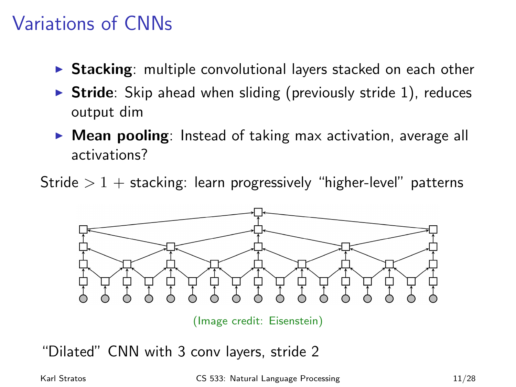#### Variations of CNNs

- $\triangleright$  Stacking: multiple convolutional layers stacked on each other
- $\triangleright$  Stride: Skip ahead when sliding (previously stride 1), reduces output dim
- $\triangleright$  Mean pooling: Instead of taking max activation, average all activations?

Stride  $> 1 +$  stacking: learn progressively "higher-level" patterns



(Image credit: Eisenstein)

"Dilated" CNN with 3 conv layers, stride 2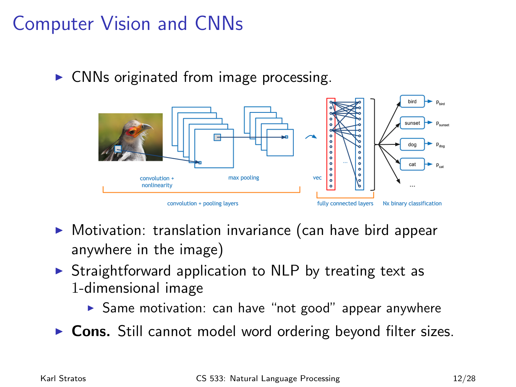### Computer Vision and CNNs

 $\triangleright$  CNNs originated from image processing.



- $\triangleright$  Motivation: translation invariance (can have bird appear anywhere in the image)
- $\triangleright$  Straightforward application to NLP by treating text as 1-dimensional image
	- $\triangleright$  Same motivation: can have "not good" appear anywhere
- $\triangleright$  Cons. Still cannot model word ordering beyond filter sizes.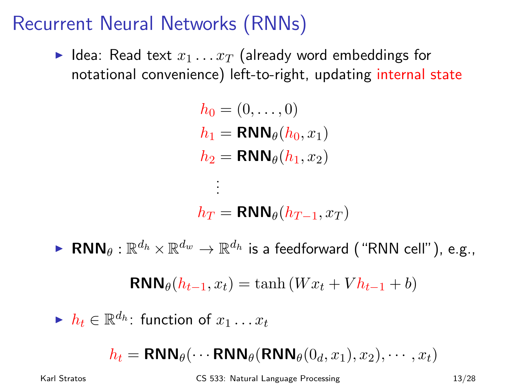#### Recurrent Neural Networks (RNNs)

I Idea: Read text  $x_1 \ldots x_T$  (already word embeddings for notational convenience) left-to-right, updating internal state

$$
h_0 = (0, \dots, 0)
$$
  
\n
$$
h_1 = \text{RNN}_{\theta}(h_0, x_1)
$$
  
\n
$$
h_2 = \text{RNN}_{\theta}(h_1, x_2)
$$

. . .

 $h_T = \text{RNN}_\theta(h_{T-1}, x_T)$ 

 $\blacktriangleright \; \mathsf{RNN}_\theta: \mathbb{R}^{d_h} \times \mathbb{R}^{d_w} \to \mathbb{R}^{d_h}$  is a feedforward ("RNN cell"), e.g.,

$$
\mathbf{RNN}_{\theta}(h_{t-1}, x_t) = \tanh\left(Wx_t + Vh_{t-1} + b\right)
$$

 $\blacktriangleright h_t \in \mathbb{R}^{d_h}$ : function of  $x_1 \ldots x_t$ 

 $h_t = \text{RNN}_{\theta}(\cdots \text{RNN}_{\theta}(\text{RNN}_{\theta}(0_d, x_1), x_2), \cdots, x_t)$ 

Karl Stratos CS 533: Natural Language Processing 13/28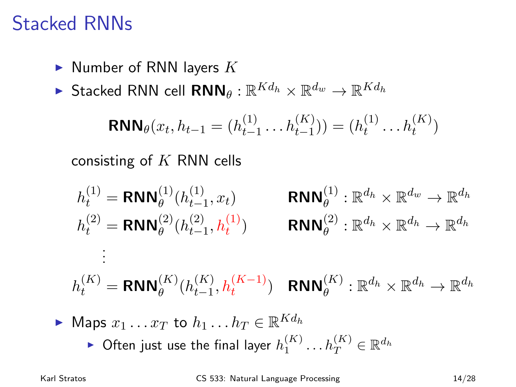#### Stacked RNNs

 $\blacktriangleright$  Number of RNN layers  $K$ 

► Stacked RNN cell  $\text{RNN}_\theta : \mathbb{R}^{Kd_h} \times \mathbb{R}^{d_w} \to \mathbb{R}^{Kd_h}$ 

$$
\mathsf{RNN}_{\theta}(x_t, h_{t-1} = (h_{t-1}^{(1)} \dots h_{t-1}^{(K)})) = (h_t^{(1)} \dots h_t^{(K)})
$$

consisting of  $K$  RNN cells

$$
h_t^{(1)} = \text{RNN}_{\theta}^{(1)}(h_{t-1}^{(1)}, x_t) \qquad \text{RNN}_{\theta}^{(1)} : \mathbb{R}^{d_h} \times \mathbb{R}^{d_w} \to \mathbb{R}^{d_h}
$$
  
\n
$$
h_t^{(2)} = \text{RNN}_{\theta}^{(2)}(h_{t-1}^{(2)}, h_t^{(1)}) \qquad \text{RNN}_{\theta}^{(2)} : \mathbb{R}^{d_h} \times \mathbb{R}^{d_h} \to \mathbb{R}^{d_h}
$$
  
\n
$$
\vdots
$$
  
\n
$$
h_t^{(K)} = \text{RNN}_{\theta}^{(K)}(h_{t-1}^{(K)}, h_t^{(K-1)}) \qquad \text{RNN}_{\theta}^{(K)} : \mathbb{R}^{d_h} \times \mathbb{R}^{d_h} \to \mathbb{R}^{d_h}
$$
  
\n
$$
\text{Maps } x_1 \dots x_T \text{ to } h_1 \dots h_T \in \mathbb{R}^{K d_h}
$$
  
\n
$$
\text{Often just use the final layer } h_1^{(K)} \dots h_T^{(K)} \in \mathbb{R}^{d_h}
$$

Karl Stratos CS 533: Natural Language Processing 14/28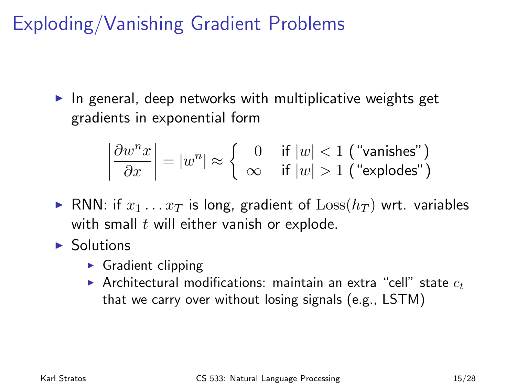Exploding/Vanishing Gradient Problems

 $\blacktriangleright$  In general, deep networks with multiplicative weights get gradients in exponential form

$$
\left|\frac{\partial w^n x}{\partial x}\right| = |w^n| \approx \left\{\begin{array}{ll} 0 & \text{if } |w| < 1 \text{ ("vanishes")} \\ \infty & \text{if } |w| > 1 \text{ ("explodes")} \end{array}\right.
$$

- RNN: if  $x_1 \ldots x_T$  is long, gradient of  $\text{Loss}(h_T)$  wrt. variables with small  $t$  will either vanish or explode.
- $\blacktriangleright$  Solutions
	- $\blacktriangleright$  Gradient clipping
	- Architectural modifications: maintain an extra "cell" state  $c_t$ that we carry over without losing signals (e.g., LSTM)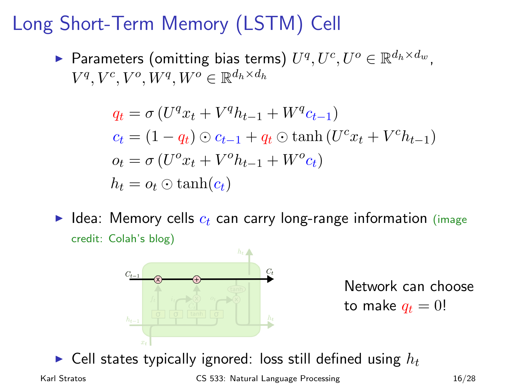### Long Short-Term Memory (LSTM) Cell

► Parameters (omitting bias terms)  $U^q, U^c, U^o \in \mathbb{R}^{d_h \times d_w}$ ,  $V^q, V^c, V^o, W^q, W^o \in \mathbb{R}^{d_h \times d_h}$ 

$$
q_t = \sigma (U^q x_t + V^q h_{t-1} + W^q c_{t-1})
$$
  
\n
$$
c_t = (1 - q_t) \odot c_{t-1} + q_t \odot \tanh (U^c x_t + V^c h_{t-1})
$$
  
\n
$$
o_t = \sigma (U^o x_t + V^o h_{t-1} + W^o c_t)
$$
  
\n
$$
h_t = o_t \odot \tanh(c_t)
$$

I Idea: Memory cells  $c_t$  can carry long-range information (image credit: Colah's blog)



Cell states typically ignored: loss still defined using  $h_t$ 

Karl Stratos **CS 533:** Natural Language Processing 16/28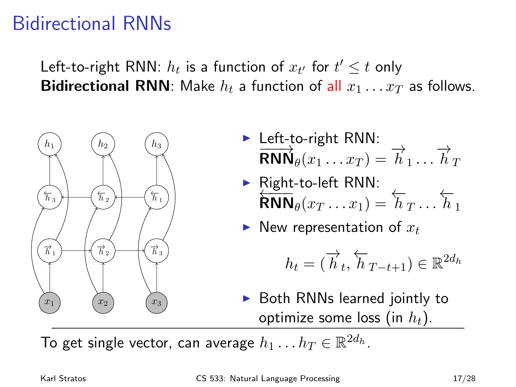#### Bidirectional RNNs

Left-to-right RNN:  $h_t$  is a function of  $x_{t'}$  for  $t' \leq t$  only **Bidirectional RNN**: Make  $h_t$  a function of all  $x_1 \ldots x_T$  as follows.



- ► Left-to-right RNN:  $\overrightarrow{\text{RNN}}_{\theta}(x_1 \dots x_T) = \overrightarrow{h}_1 \dots \overrightarrow{h}_T$
- ► Right-to-left RNN:<br>  $\overleftrightarrow{\text{RNN}}_{\theta}(x_T \dots x_1) = \overleftarrow{h}_T \dots \overleftarrow{h}_1$
- $\blacktriangleright$  New representation of  $x_t$

$$
h_t = (\overrightarrow{h}_t, \overleftarrow{h}_{T-t+1}) \in \mathbb{R}^{2d_h}
$$

 $\triangleright$  Both RNNs learned jointly to optimize some loss (in  $h_t$ ).

To get single vector, can average  $h_1 \dots h_T \in \mathbb{R}^{2d_h}.$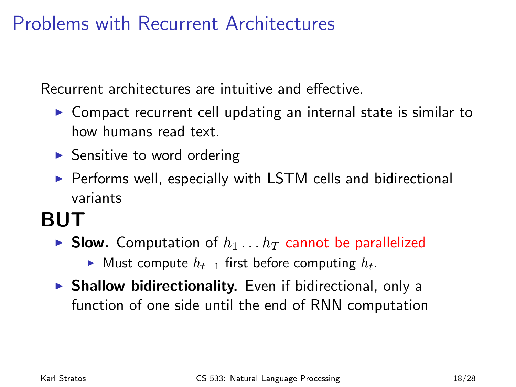#### Problems with Recurrent Architectures

Recurrent architectures are intuitive and effective.

- $\triangleright$  Compact recurrent cell updating an internal state is similar to how humans read text.
- $\triangleright$  Sensitive to word ordering
- $\triangleright$  Performs well, especially with LSTM cells and bidirectional variants

## BUT

**Slow.** Computation of  $h_1 \ldots h_T$  cannot be parallelized

► Must compute  $h_{t-1}$  first before computing  $h_t$ .

 $\triangleright$  Shallow bidirectionality. Even if bidirectional, only a function of one side until the end of RNN computation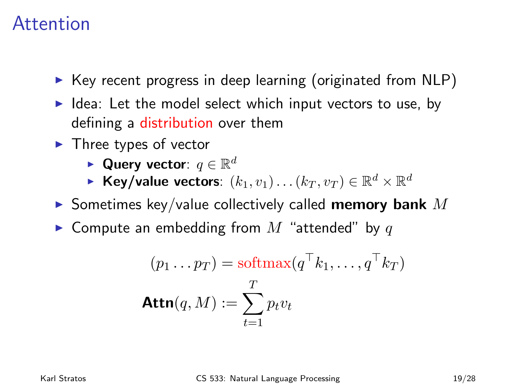#### Attention

- $\triangleright$  Key recent progress in deep learning (originated from NLP)
- $\blacktriangleright$  Idea: Let the model select which input vectors to use, by defining a distribution over them
- $\blacktriangleright$  Three types of vector
	- ► Query vector:  $q \in \mathbb{R}^d$
	- ► Key/value vectors:  $(k_1, v_1) \dots (k_T, v_T) \in \mathbb{R}^d \times \mathbb{R}^d$
- Sometimes key/value collectively called memory bank  $M$
- $\blacktriangleright$  Compute an embedding from  $M$  "attended" by q

$$
(p_1 \dots p_T) = \operatorname{softmax}(q^\top k_1, \dots, q^\top k_T)
$$

$$
\operatorname{Attn}(q, M) := \sum_{t=1}^T p_t v_t
$$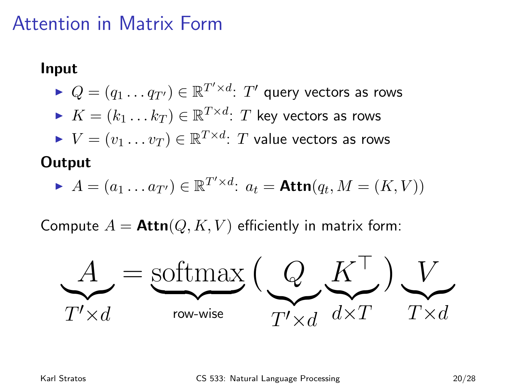#### Attention in Matrix Form

#### Input

\n- ▶ 
$$
Q = (q_1 \dots q_{T'}) \in \mathbb{R}^{T' \times d}
$$
:  $T'$  query vectors as rows
\n- ▶  $K = (k_1 \dots k_T) \in \mathbb{R}^{T \times d}$ :  $T$  key vectors as rows
\n- ▶  $V = (v_1 \dots v_T) \in \mathbb{R}^{T \times d}$ :  $T$  value vectors as rows
\n
\nOutput

$$
\blacktriangleright A = (a_1 \dots a_{T'}) \in \mathbb{R}^{T' \times d}: a_t = \text{Attn}(q_t, M = (K, V))
$$

Compute  $A = \text{Attn}(Q, K, V)$  efficiently in matrix form:

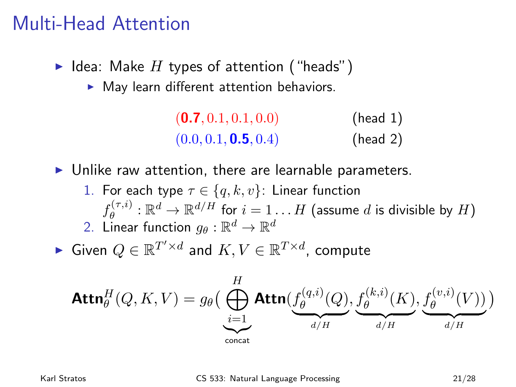#### Multi-Head Attention

- I Idea: Make H types of attention ("heads")
	- $\blacktriangleright$  May learn different attention behaviors.

 $(0.7, 0.1, 0.1, 0.0)$  (head 1)  $(0.0, 0.1, 0.5, 0.4)$  (head 2)

 $\triangleright$  Unlike raw attention, there are learnable parameters.

1. For each type  $\tau \in \{q, k, v\}$ : Linear function  $f_{\theta}^{(\tau,i)}: \mathbb{R}^d \rightarrow \mathbb{R}^{d/H}$  for  $i=1 \ldots H$  (assume  $d$  is divisible by  $H)$ 2. Linear function  $g_{\theta} : \mathbb{R}^d \to \mathbb{R}^d$ 

► Given  $Q \in \mathbb{R}^{T' \times d}$  and  $K, V \in \mathbb{R}^{T \times d}$ , compute

$$
\text{Attn}_{\theta}^{H}(Q, K, V) = g_{\theta}\left(\bigoplus_{i=1}^{H} \text{Attn}(\underbrace{f_{\theta}^{(q,i)}(Q)}_{\text{d}/H}, \underbrace{f_{\theta}^{(k,i)}(K)}_{\text{d}/H}, \underbrace{f_{\theta}^{(v,i)}(V))}_{\text{d}/H}\right)
$$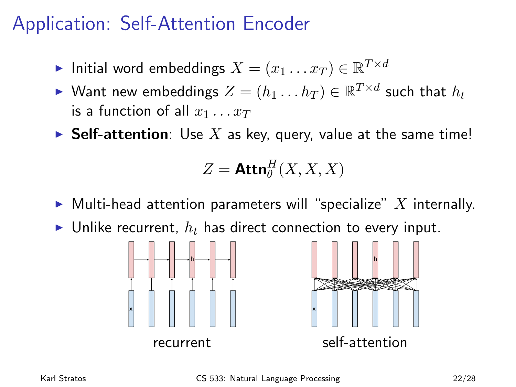#### Application: Self-Attention Encoder

- ► Initial word embeddings  $X = (x_1 \dots x_T) \in \mathbb{R}^{T \times d}$
- ► Want new embeddings  $Z = (h_1 \dots h_T) \in \mathbb{R}^{T \times d}$  such that  $h_t$ is a function of all  $x_1 \ldots x_T$
- **Self-attention**: Use X as key, query, value at the same time!

$$
Z = \mathbf{Attn}^H_\theta(X,X,X)
$$

- $\blacktriangleright$  Multi-head attention parameters will "specialize" X internally.
- In Unlike recurrent,  $h_t$  has direct connection to every input.



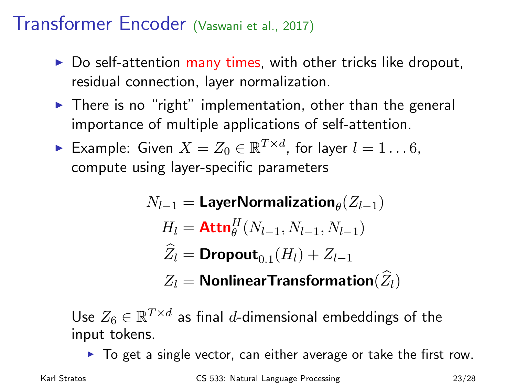#### Transformer Encoder (Vaswani et al., 2017)

- $\triangleright$  Do self-attention many times, with other tricks like dropout, residual connection, layer normalization.
- $\triangleright$  There is no "right" implementation, other than the general importance of multiple applications of self-attention.
- ► Example: Given  $X = Z_0 \in \mathbb{R}^{T \times d}$ , for layer  $l = 1 \dots 6$ , compute using layer-specific parameters

$$
N_{l-1} = \text{LayerNormalization}_{\theta}(Z_{l-1})
$$

$$
H_{l} = \text{Attn}_{\theta}^{H}(N_{l-1}, N_{l-1}, N_{l-1})
$$

$$
\widehat{Z}_{l} = \text{Dropout}_{0.1}(H_{l}) + Z_{l-1}
$$

$$
Z_{l} = \text{NonlinearTransformation}(\widehat{Z}_{l})
$$

Use  $Z_6 \in \mathbb{R}^{T \times d}$  as final d-dimensional embeddings of the input tokens.

 $\triangleright$  To get a single vector, can either average or take the first row.

Karl Stratos **CS 533: Natural Language Processing** 23/28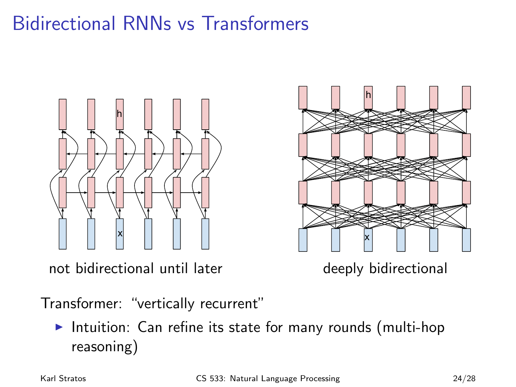## Bidirectional RNNs vs Transformers



not bidirectional until later and deeply bidirectional



Transformer: "vertically recurrent"

Intuition: Can refine its state for many rounds (multi-hop reasoning)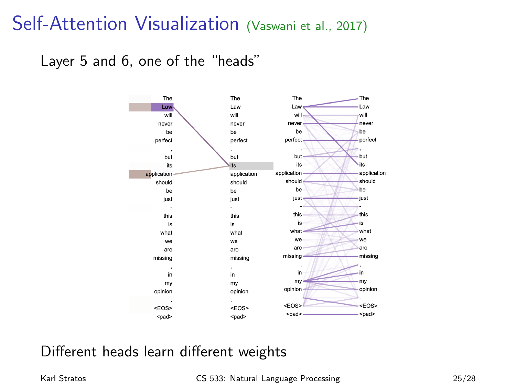#### Self-Attention Visualization (Vaswani et al., 2017)

Layer 5 and 6, one of the "heads"



#### Different heads learn different weights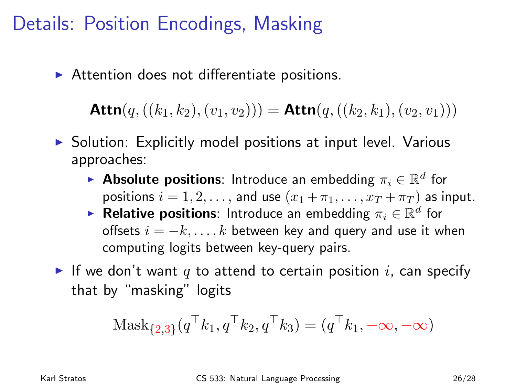#### Details: Position Encodings, Masking

 $\triangleright$  Attention does not differentiate positions.

 $\mathsf{Attn}(q, ((k_1, k_2), (v_1, v_2))) = \mathsf{Attn}(q, ((k_2, k_1), (v_2, v_1)))$ 

- $\triangleright$  Solution: Explicitly model positions at input level. Various approaches:
	- **Absolute positions**: Introduce an embedding  $\pi_i \in \mathbb{R}^d$  for positions  $i = 1, 2, \ldots$ , and use  $(x_1 + \pi_1, \ldots, x_T + \pi_T)$  as input.
	- **Relative positions:** Introduce an embedding  $\pi_i \in \mathbb{R}^d$  for offsets  $i = -k, \ldots, k$  between key and query and use it when computing logits between key-query pairs.
- If we don't want q to attend to certain position i, can specify that by "masking" logits

$$
Mask_{\{2,3\}}(q^{\top}k_1, q^{\top}k_2, q^{\top}k_3) = (q^{\top}k_1, -\infty, -\infty)
$$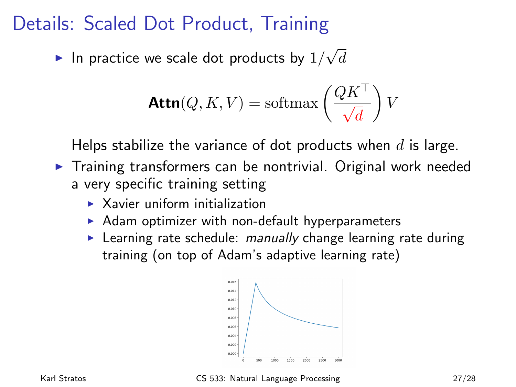Details: Scaled Dot Product, Training

 $\blacktriangleright$  In practice we scale dot products by  $1/\sqrt{d}$ 

$$
\textbf{Attn}(Q, K, V) = \text{softmax}\left(\frac{QK^{\top}}{\sqrt{d}}\right) V
$$

Helps stabilize the variance of dot products when  $d$  is large.

- $\triangleright$  Training transformers can be nontrivial. Original work needed a very specific training setting
	- $\triangleright$  Xavier uniform initialization
	- $\blacktriangleright$  Adam optimizer with non-default hyperparameters
	- E Learning rate schedule: *manually* change learning rate during training (on top of Adam's adaptive learning rate)



Karl Stratos CS 533: Natural Language Processing 27/28